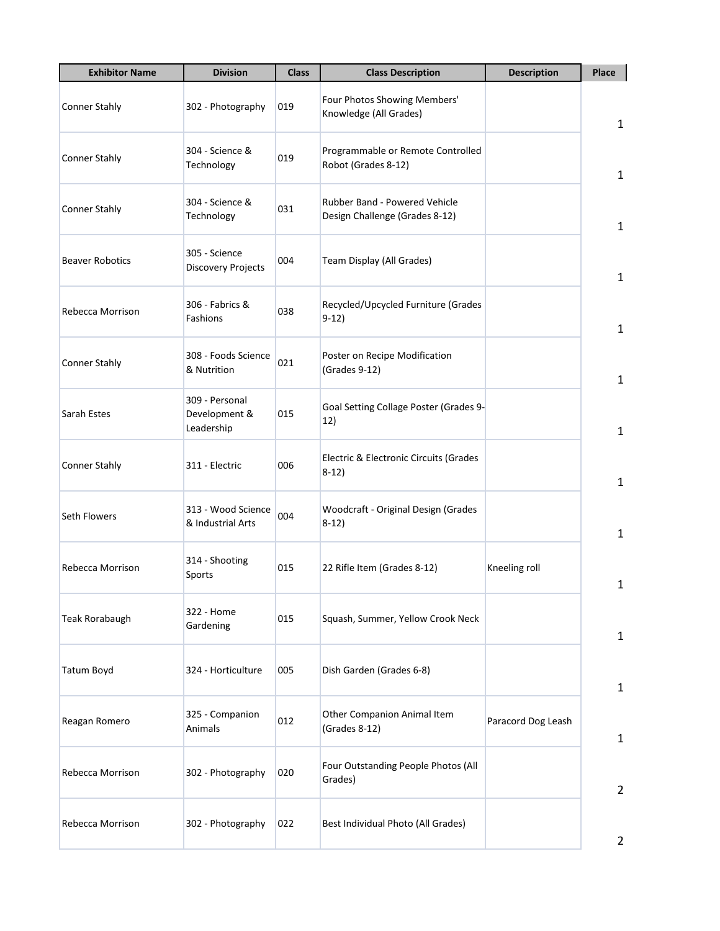| <b>Exhibitor Name</b>  | <b>Division</b>                               | <b>Class</b> | <b>Class Description</b>                                        | <b>Description</b> | Place          |
|------------------------|-----------------------------------------------|--------------|-----------------------------------------------------------------|--------------------|----------------|
| <b>Conner Stahly</b>   | 302 - Photography                             | 019          | Four Photos Showing Members'<br>Knowledge (All Grades)          |                    | $\mathbf{1}$   |
| <b>Conner Stahly</b>   | 304 - Science &<br>Technology                 | 019          | Programmable or Remote Controlled<br>Robot (Grades 8-12)        |                    | $\mathbf{1}$   |
| <b>Conner Stahly</b>   | 304 - Science &<br>Technology                 | 031          | Rubber Band - Powered Vehicle<br>Design Challenge (Grades 8-12) |                    | $\mathbf{1}$   |
| <b>Beaver Robotics</b> | 305 - Science<br>Discovery Projects           | 004          | Team Display (All Grades)                                       |                    | $\mathbf{1}$   |
| Rebecca Morrison       | 306 - Fabrics &<br>Fashions                   | 038          | Recycled/Upcycled Furniture (Grades<br>$9-12)$                  |                    | $\mathbf{1}$   |
| <b>Conner Stahly</b>   | 308 - Foods Science<br>& Nutrition            | 021          | Poster on Recipe Modification<br>(Grades 9-12)                  |                    | $\mathbf{1}$   |
| Sarah Estes            | 309 - Personal<br>Development &<br>Leadership | 015          | Goal Setting Collage Poster (Grades 9-<br>12)                   |                    | $\mathbf{1}$   |
| <b>Conner Stahly</b>   | 311 - Electric                                | 006          | Electric & Electronic Circuits (Grades<br>$8-12)$               |                    | $\mathbf{1}$   |
| Seth Flowers           | 313 - Wood Science<br>& Industrial Arts       | 004          | Woodcraft - Original Design (Grades<br>$8-12)$                  |                    | $\mathbf{1}$   |
| Rebecca Morrison       | 314 - Shooting<br>Sports                      | 015          | 22 Rifle Item (Grades 8-12)                                     | Kneeling roll      | 1              |
| <b>Teak Rorabaugh</b>  | 322 - Home<br>Gardening                       | 015          | Squash, Summer, Yellow Crook Neck                               |                    | $\mathbf{1}$   |
| <b>Tatum Boyd</b>      | 324 - Horticulture                            | 005          | Dish Garden (Grades 6-8)                                        |                    | $\mathbf{1}$   |
| Reagan Romero          | 325 - Companion<br>Animals                    | 012          | Other Companion Animal Item<br>(Grades 8-12)                    | Paracord Dog Leash | $\mathbf{1}$   |
| Rebecca Morrison       | 302 - Photography                             | 020          | Four Outstanding People Photos (All<br>Grades)                  |                    | $\overline{2}$ |
| Rebecca Morrison       | 302 - Photography                             | 022          | Best Individual Photo (All Grades)                              |                    | $\overline{2}$ |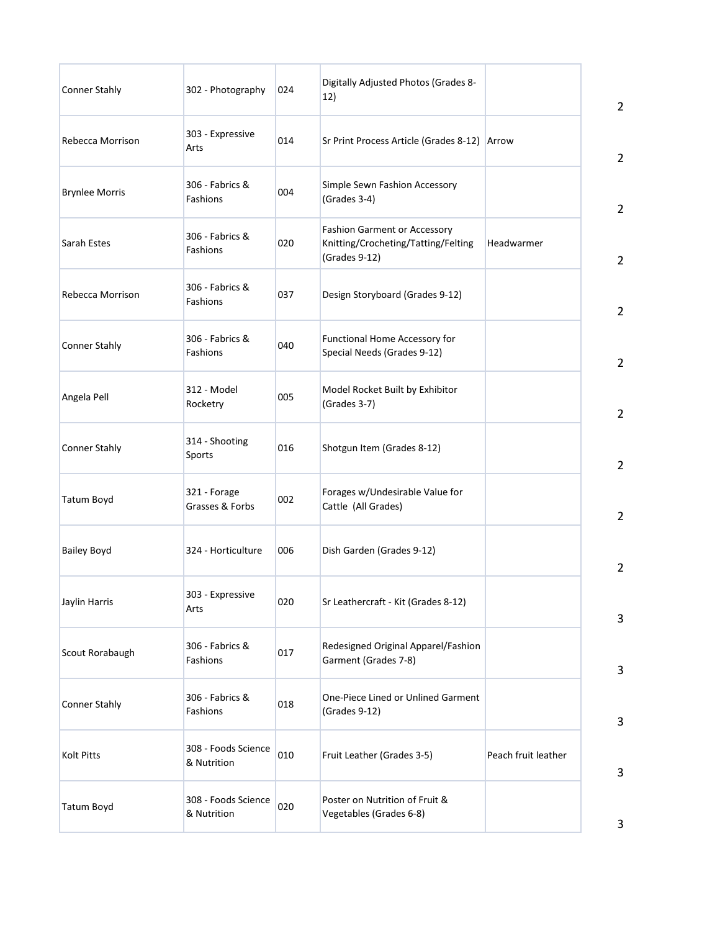| <b>Conner Stahly</b>  | 302 - Photography                  | 024 | Digitally Adjusted Photos (Grades 8-<br>12)                                                 |                     | $\overline{2}$ |
|-----------------------|------------------------------------|-----|---------------------------------------------------------------------------------------------|---------------------|----------------|
| Rebecca Morrison      | 303 - Expressive<br>Arts           | 014 | Sr Print Process Article (Grades 8-12) Arrow                                                |                     | $\overline{2}$ |
| <b>Brynlee Morris</b> | 306 - Fabrics &<br>Fashions        | 004 | Simple Sewn Fashion Accessory<br>(Grades 3-4)                                               |                     | $\overline{2}$ |
| Sarah Estes           | 306 - Fabrics &<br>Fashions        | 020 | <b>Fashion Garment or Accessory</b><br>Knitting/Crocheting/Tatting/Felting<br>(Grades 9-12) | Headwarmer          | $\overline{2}$ |
| Rebecca Morrison      | 306 - Fabrics &<br>Fashions        | 037 | Design Storyboard (Grades 9-12)                                                             |                     | $\overline{2}$ |
| <b>Conner Stahly</b>  | 306 - Fabrics &<br>Fashions        | 040 | Functional Home Accessory for<br>Special Needs (Grades 9-12)                                |                     | $\overline{2}$ |
| Angela Pell           | 312 - Model<br>Rocketry            | 005 | Model Rocket Built by Exhibitor<br>(Grades 3-7)                                             |                     | $\overline{2}$ |
| <b>Conner Stahly</b>  | 314 - Shooting<br>Sports           | 016 | Shotgun Item (Grades 8-12)                                                                  |                     | $\overline{2}$ |
| <b>Tatum Boyd</b>     | 321 - Forage<br>Grasses & Forbs    | 002 | Forages w/Undesirable Value for<br>Cattle (All Grades)                                      |                     | $\overline{2}$ |
| <b>Bailey Boyd</b>    | 324 - Horticulture                 | 006 | Dish Garden (Grades 9-12)                                                                   |                     | $\overline{2}$ |
| Jaylin Harris         | 303 - Expressive<br>Arts           | 020 | Sr Leathercraft - Kit (Grades 8-12)                                                         |                     | 3              |
| Scout Rorabaugh       | 306 - Fabrics &<br>Fashions        | 017 | Redesigned Original Apparel/Fashion<br>Garment (Grades 7-8)                                 |                     | 3              |
| <b>Conner Stahly</b>  | 306 - Fabrics &<br>Fashions        | 018 | One-Piece Lined or Unlined Garment<br>(Grades 9-12)                                         |                     | 3              |
| <b>Kolt Pitts</b>     | 308 - Foods Science<br>& Nutrition | 010 | Fruit Leather (Grades 3-5)                                                                  | Peach fruit leather | 3              |
| <b>Tatum Boyd</b>     | 308 - Foods Science<br>& Nutrition | 020 | Poster on Nutrition of Fruit &<br>Vegetables (Grades 6-8)                                   |                     | 3              |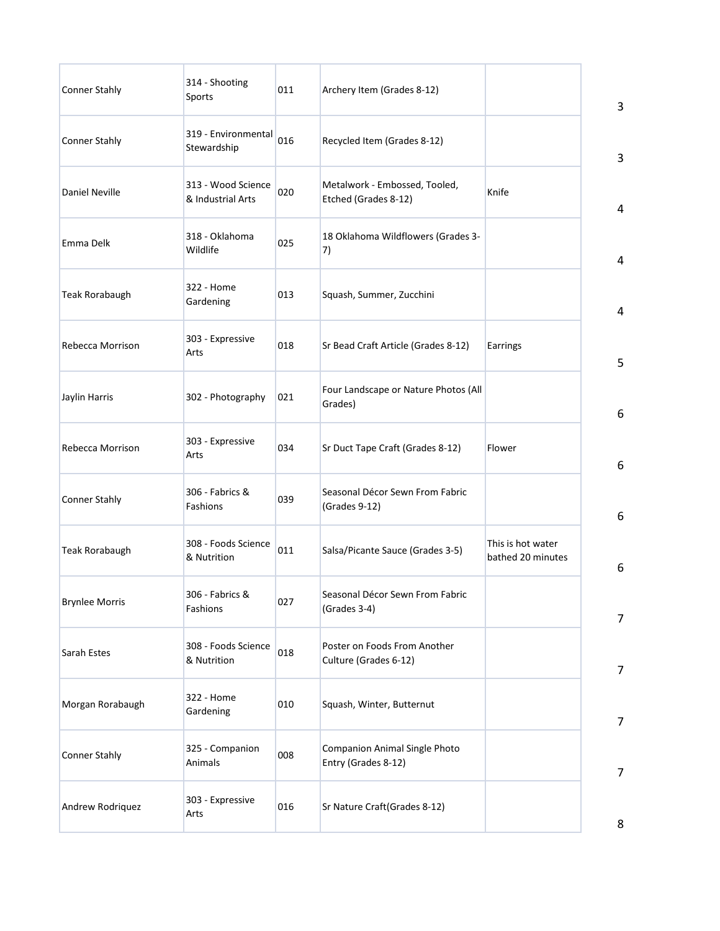| <b>Conner Stahly</b>  | 314 - Shooting<br>Sports                | 011 | Archery Item (Grades 8-12)                            |                                        | 3              |
|-----------------------|-----------------------------------------|-----|-------------------------------------------------------|----------------------------------------|----------------|
| <b>Conner Stahly</b>  | 319 - Environmental<br>Stewardship      | 016 | Recycled Item (Grades 8-12)                           |                                        | 3              |
| <b>Daniel Neville</b> | 313 - Wood Science<br>& Industrial Arts | 020 | Metalwork - Embossed, Tooled,<br>Etched (Grades 8-12) | Knife                                  | 4              |
| Emma Delk             | 318 - Oklahoma<br>Wildlife              | 025 | 18 Oklahoma Wildflowers (Grades 3-<br>7)              |                                        | 4              |
| <b>Teak Rorabaugh</b> | 322 - Home<br>Gardening                 | 013 | Squash, Summer, Zucchini                              |                                        | 4              |
| Rebecca Morrison      | 303 - Expressive<br>Arts                | 018 | Sr Bead Craft Article (Grades 8-12)                   | Earrings                               | 5              |
| Jaylin Harris         | 302 - Photography                       | 021 | Four Landscape or Nature Photos (All<br>Grades)       |                                        | 6              |
| Rebecca Morrison      | 303 - Expressive<br>Arts                | 034 | Sr Duct Tape Craft (Grades 8-12)                      | Flower                                 | 6              |
| <b>Conner Stahly</b>  | 306 - Fabrics &<br>Fashions             | 039 | Seasonal Décor Sewn From Fabric<br>(Grades 9-12)      |                                        | 6              |
| <b>Teak Rorabaugh</b> | 308 - Foods Science<br>& Nutrition      | 011 | Salsa/Picante Sauce (Grades 3-5)                      | This is hot water<br>bathed 20 minutes | 6              |
| <b>Brynlee Morris</b> | 306 - Fabrics &<br>Fashions             | 027 | Seasonal Décor Sewn From Fabric<br>(Grades 3-4)       |                                        | $\overline{7}$ |
| Sarah Estes           | 308 - Foods Science<br>& Nutrition      | 018 | Poster on Foods From Another<br>Culture (Grades 6-12) |                                        | $\overline{7}$ |
| Morgan Rorabaugh      | 322 - Home<br>Gardening                 | 010 | Squash, Winter, Butternut                             |                                        | $\overline{7}$ |
| <b>Conner Stahly</b>  | 325 - Companion<br>Animals              | 008 | Companion Animal Single Photo<br>Entry (Grades 8-12)  |                                        | $\overline{7}$ |
| Andrew Rodriquez      | 303 - Expressive<br>Arts                | 016 | Sr Nature Craft(Grades 8-12)                          |                                        | 8              |